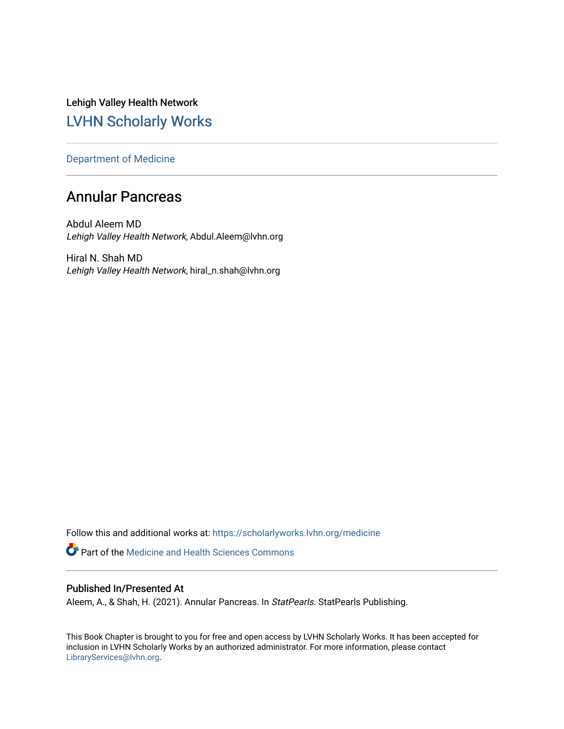Lehigh Valley Health Network [LVHN Scholarly Works](https://scholarlyworks.lvhn.org/)

[Department of Medicine](https://scholarlyworks.lvhn.org/medicine) 

# Annular Pancreas

Abdul Aleem MD Lehigh Valley Health Network, Abdul.Aleem@lvhn.org

Hiral N. Shah MD Lehigh Valley Health Network, hiral\_n.shah@lvhn.org

Follow this and additional works at: [https://scholarlyworks.lvhn.org/medicine](https://scholarlyworks.lvhn.org/medicine?utm_source=scholarlyworks.lvhn.org%2Fmedicine%2F2032&utm_medium=PDF&utm_campaign=PDFCoverPages) 

**Part of the Medicine and Health Sciences Commons** 

# Published In/Presented At

Aleem, A., & Shah, H. (2021). Annular Pancreas. In StatPearls. StatPearls Publishing.

This Book Chapter is brought to you for free and open access by LVHN Scholarly Works. It has been accepted for inclusion in LVHN Scholarly Works by an authorized administrator. For more information, please contact [LibraryServices@lvhn.org](mailto:LibraryServices@lvhn.org).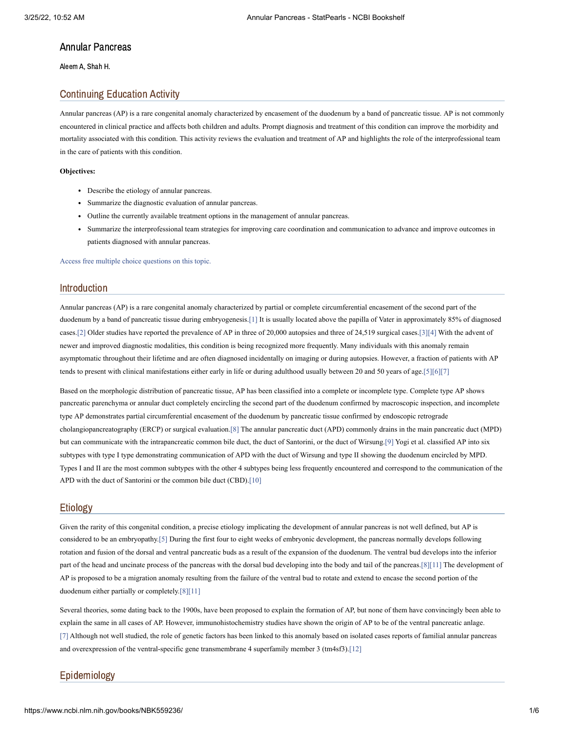# Annular Pancreas

Aleem A, Shah H.

# Continuing Education Activity

Annular pancreas (AP) is a rare congenital anomaly characterized by encasement of the duodenum by a band of pancreatic tissue. AP is not commonly encountered in clinical practice and affects both children and adults. Prompt diagnosis and treatment of this condition can improve the morbidity and mortality associated with this condition. This activity reviews the evaluation and treatment of AP and highlights the role of the interprofessional team in the care of patients with this condition.

#### **Objectives:**

- Describe the etiology of annular pancreas.
- Summarize the diagnostic evaluation of annular pancreas.
- Outline the currently available treatment options in the management of annular pancreas.
- Summarize the interprofessional team strategies for improving care coordination and communication to advance and improve outcomes in patients diagnosed with annular pancreas.

Access free multiple choice [questions](https://www.statpearls.com/account/trialuserreg/?articleid=17616&utm_source=pubmed&utm_campaign=reviews&utm_content=17616) on this topic.

#### Introduction

Annular pancreas (AP) is a rare congenital anomaly characterized by partial or complete circumferential encasement of the second part of the duodenum by a band of pancreatic tissue during embryogenesis[.\[1\]](#page-4-0) It is usually located above the papilla of Vater in approximately 85% of diagnosed cases.[\[2\]](#page-4-1) Older studies have reported the prevalence of AP in three of 20,000 autopsies and three of 24,519 surgical cases[.\[3\]](#page-4-2)[\[4\]](#page-4-3) With the advent of newer and improved diagnostic modalities, this condition is being recognized more frequently. Many individuals with this anomaly remain asymptomatic throughout their lifetime and are often diagnosed incidentally on imaging or during autopsies. However, a fraction of patients with AP tends to present with clinical manifestations either early in life or during adulthood usually between 20 and 50 years of age.[\[5\]](#page-4-4)[\[6\]](#page-4-5)[\[7\]](#page-4-6)

Based on the morphologic distribution of pancreatic tissue, AP has been classified into a complete or incomplete type. Complete type AP shows pancreatic parenchyma or annular duct completely encircling the second part of the duodenum confirmed by macroscopic inspection, and incomplete type AP demonstrates partial circumferential encasement of the duodenum by pancreatic tissue confirmed by endoscopic retrograde cholangiopancreatography (ERCP) or surgical evaluation[.\[8\]](#page-4-7) The annular pancreatic duct (APD) commonly drains in the main pancreatic duct (MPD) but can communicate with the intrapancreatic common bile duct, the duct of Santorini, or the duct of Wirsung[.\[9\]](#page-4-8) Yogi et al. classified AP into six subtypes with type I type demonstrating communication of APD with the duct of Wirsung and type II showing the duodenum encircled by MPD. Types I and II are the most common subtypes with the other 4 subtypes being less frequently encountered and correspond to the communication of the APD with the duct of Santorini or the common bile duct (CBD)[.\[10\]](#page-4-9)

#### Etiology

Given the rarity of this congenital condition, a precise etiology implicating the development of annular pancreas is not well defined, but AP is considered to be an embryopathy[.\[5\]](#page-4-4) During the first four to eight weeks of embryonic development, the pancreas normally develops following rotation and fusion of the dorsal and ventral pancreatic buds as a result of the expansion of the duodenum. The ventral bud develops into the inferior part of the head and uncinate process of the pancreas with the dorsal bud developing into the body and tail of the pancreas[.\[8\]](#page-4-7)[\[11\]](#page-4-10) The development of AP is proposed to be a migration anomaly resulting from the failure of the ventral bud to rotate and extend to encase the second portion of the duodenum either partially or completely.[\[8\]](#page-4-7)[\[11\]](#page-4-10)

Several theories, some dating back to the 1900s, have been proposed to explain the formation of AP, but none of them have convincingly been able to explain the same in all cases of AP. However, immunohistochemistry studies have shown the origin of AP to be of the ventral pancreatic anlage. [\[7\]](#page-4-6) Although not well studied, the role of genetic factors has been linked to this anomaly based on isolated cases reports of familial annular pancreas and overexpression of the ventral-specific gene transmembrane 4 superfamily member 3 (tm4sf3)[.\[12\]](#page-4-11)

# Epidemiology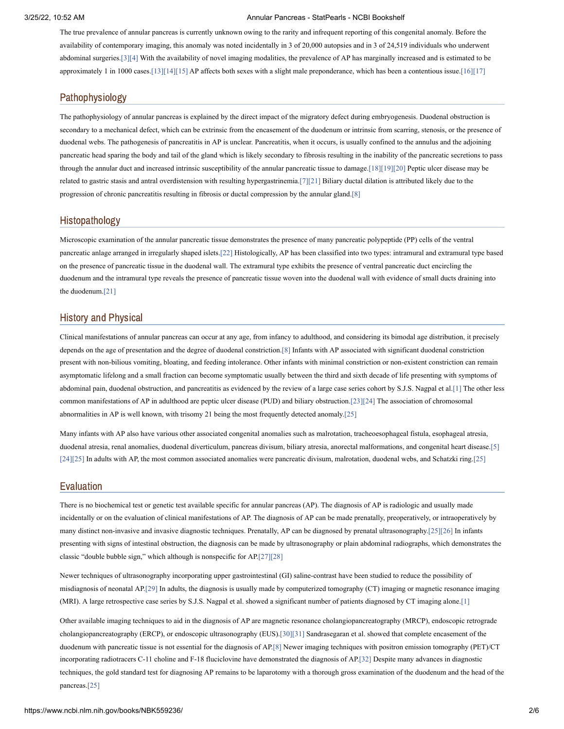The true prevalence of annular pancreas is currently unknown owing to the rarity and infrequent reporting of this congenital anomaly. Before the availability of contemporary imaging, this anomaly was noted incidentally in 3 of 20,000 autopsies and in 3 of 24,519 individuals who underwent abdominal surgeries.[\[3\]](#page-4-2)[\[4\]](#page-4-3) With the availability of novel imaging modalities, the prevalence of AP has marginally increased and is estimated to be approximately 1 in 1000 cases[.\[13\]](#page-4-12)[\[14\]](#page-4-13)[\[15\]](#page-4-14) AP affects both sexes with a slight male preponderance, which has been a contentious issue.[\[16\]](#page-4-15)[\[17\]](#page-4-16)

# Pathophysiology

The pathophysiology of annular pancreas is explained by the direct impact of the migratory defect during embryogenesis. Duodenal obstruction is secondary to a mechanical defect, which can be extrinsic from the encasement of the duodenum or intrinsic from scarring, stenosis, or the presence of duodenal webs. The pathogenesis of pancreatitis in AP is unclear. Pancreatitis, when it occurs, is usually confined to the annulus and the adjoining pancreatic head sparing the body and tail of the gland which is likely secondary to fibrosis resulting in the inability of the pancreatic secretions to pass through the annular duct and increased intrinsic susceptibility of the annular pancreatic tissue to damage[.\[18\]](#page-4-17)[\[19\]](#page-4-18)[\[20\]](#page-4-19) Peptic ulcer disease may be related to gastric stasis and antral overdistension with resulting hypergastrinemia[.\[7\]](#page-4-6)[\[21\]](#page-4-20) Biliary ductal dilation is attributed likely due to the progression of chronic pancreatitis resulting in fibrosis or ductal compression by the annular gland[.\[8\]](#page-4-7)

#### Histopathology

Microscopic examination of the annular pancreatic tissue demonstrates the presence of many pancreatic polypeptide (PP) cells of the ventral pancreatic anlage arranged in irregularly shaped islets[.\[22\]](#page-4-21) Histologically, AP has been classified into two types: intramural and extramural type based on the presence of pancreatic tissue in the duodenal wall. The extramural type exhibits the presence of ventral pancreatic duct encircling the duodenum and the intramural type reveals the presence of pancreatic tissue woven into the duodenal wall with evidence of small ducts draining into the duodenum[.\[21\]](#page-4-20)

# History and Physical

Clinical manifestations of annular pancreas can occur at any age, from infancy to adulthood, and considering its bimodal age distribution, it precisely depends on the age of presentation and the degree of duodenal constriction[.\[8\]](#page-4-7) Infants with AP associated with significant duodenal constriction present with non-bilious vomiting, bloating, and feeding intolerance. Other infants with minimal constriction or non-existent constriction can remain asymptomatic lifelong and a small fraction can become symptomatic usually between the third and sixth decade of life presenting with symptoms of abdominal pain, duodenal obstruction, and pancreatitis as evidenced by the review of a large case series cohort by S.J.S. Nagpal et al.[\[1\]](#page-4-0) The other less common manifestations of AP in adulthood are peptic ulcer disease (PUD) and biliary obstruction.[\[23\]](#page-5-0)[\[24\]](#page-5-1) The association of chromosomal abnormalities in AP is well known, with trisomy 21 being the most frequently detected anomaly[.\[25\]](#page-5-2)

Many infants with AP also have various other associated congenital anomalies such as malrotation, tracheoesophageal fistula, esophageal atresia, duodenal atresia, renal anomalies, duodenal diverticulum, pancreas divisum, biliary atresia, anorectal malformations, and congenital heart disease.[\[5\]](#page-4-4) [\[24\]](#page-5-1)[\[25\]](#page-5-2) In adults with AP, the most common associated anomalies were pancreatic divisum, malrotation, duodenal webs, and Schatzki ring[.\[25\]](#page-5-2)

#### Evaluation

There is no biochemical test or genetic test available specific for annular pancreas (AP). The diagnosis of AP is radiologic and usually made incidentally or on the evaluation of clinical manifestations of AP. The diagnosis of AP can be made prenatally, preoperatively, or intraoperatively by many distinct non-invasive and invasive diagnostic techniques. Prenatally, AP can be diagnosed by prenatal ultrasonography.[\[25\]](#page-5-2)[\[26\]](#page-5-3) In infants presenting with signs of intestinal obstruction, the diagnosis can be made by ultrasonography or plain abdominal radiographs, which demonstrates the classic "double bubble sign," which although is nonspecific for AP[.\[27\]](#page-5-4)[\[28\]](#page-5-5)

Newer techniques of ultrasonography incorporating upper gastrointestinal (GI) saline-contrast have been studied to reduce the possibility of misdiagnosis of neonatal AP.[\[29\]](#page-5-6) In adults, the diagnosis is usually made by computerized tomography (CT) imaging or magnetic resonance imaging (MRI). A large retrospective case series by S.J.S. Nagpal et al. showed a significant number of patients diagnosed by CT imaging alone.[\[1\]](#page-4-0)

Other available imaging techniques to aid in the diagnosis of AP are magnetic resonance cholangiopancreatography (MRCP), endoscopic retrograde cholangiopancreatography (ERCP), or endoscopic ultrasonography (EUS)[.\[30\]](#page-5-7)[\[31\]](#page-5-8) Sandrasegaran et al. showed that complete encasement of the duodenum with pancreatic tissue is not essential for the diagnosis of AP[.\[8\]](#page-4-7) Newer imaging techniques with positron emission tomography (PET)/CT incorporating radiotracers C-11 choline and F-18 fluciclovine have demonstrated the diagnosis of AP.[\[32\]](#page-5-9) Despite many advances in diagnostic techniques, the gold standard test for diagnosing AP remains to be laparotomy with a thorough gross examination of the duodenum and the head of the pancreas.[\[25\]](#page-5-2)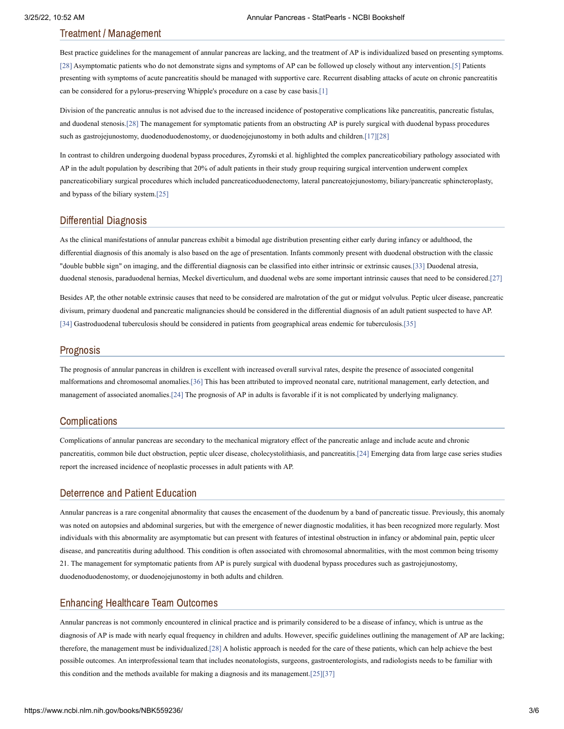# Treatment / Management

Best practice guidelines for the management of annular pancreas are lacking, and the treatment of AP is individualized based on presenting symptoms. [\[28\]](#page-5-5) Asymptomatic patients who do not demonstrate signs and symptoms of AP can be followed up closely without any intervention.[\[5\]](#page-4-4) Patients presenting with symptoms of acute pancreatitis should be managed with supportive care. Recurrent disabling attacks of acute on chronic pancreatitis can be considered for a pylorus-preserving Whipple's procedure on a case by case basis[.\[1\]](#page-4-0)

Division of the pancreatic annulus is not advised due to the increased incidence of postoperative complications like pancreatitis, pancreatic fistulas, and duodenal stenosis[.\[28\]](#page-5-5) The management for symptomatic patients from an obstructing AP is purely surgical with duodenal bypass procedures such as gastrojejunostomy, duodenoduodenostomy, or duodenojejunostomy in both adults and children.[\[17\]](#page-4-16)[\[28\]](#page-5-5)

In contrast to children undergoing duodenal bypass procedures, Zyromski et al. highlighted the complex pancreaticobiliary pathology associated with AP in the adult population by describing that 20% of adult patients in their study group requiring surgical intervention underwent complex pancreaticobiliary surgical procedures which included pancreaticoduodenectomy, lateral pancreatojejunostomy, biliary/pancreatic sphincteroplasty, and bypass of the biliary system.[\[25\]](#page-5-2)

# Differential Diagnosis

As the clinical manifestations of annular pancreas exhibit a bimodal age distribution presenting either early during infancy or adulthood, the differential diagnosis of this anomaly is also based on the age of presentation. Infants commonly present with duodenal obstruction with the classic "double bubble sign" on imaging, and the differential diagnosis can be classified into either intrinsic or extrinsic causes[.\[33\]](#page-5-10) Duodenal atresia, duodenal stenosis, paraduodenal hernias, Meckel diverticulum, and duodenal webs are some important intrinsic causes that need to be considered[.\[27\]](#page-5-4)

Besides AP, the other notable extrinsic causes that need to be considered are malrotation of the gut or midgut volvulus. Peptic ulcer disease, pancreatic divisum, primary duodenal and pancreatic malignancies should be considered in the differential diagnosis of an adult patient suspected to have AP. [\[34\]](#page-5-11) Gastroduodenal tuberculosis should be considered in patients from geographical areas endemic for tuberculosis[.\[35\]](#page-5-12)

#### Prognosis

The prognosis of annular pancreas in children is excellent with increased overall survival rates, despite the presence of associated congenital malformations and chromosomal anomalies[.\[36\]](#page-5-13) This has been attributed to improved neonatal care, nutritional management, early detection, and management of associated anomalies.[\[24\]](#page-5-1) The prognosis of AP in adults is favorable if it is not complicated by underlying malignancy.

#### **Complications**

Complications of annular pancreas are secondary to the mechanical migratory effect of the pancreatic anlage and include acute and chronic pancreatitis, common bile duct obstruction, peptic ulcer disease, cholecystolithiasis, and pancreatitis.[\[24\]](#page-5-1) Emerging data from large case series studies report the increased incidence of neoplastic processes in adult patients with AP.

## Deterrence and Patient Education

Annular pancreas is a rare congenital abnormality that causes the encasement of the duodenum by a band of pancreatic tissue. Previously, this anomaly was noted on autopsies and abdominal surgeries, but with the emergence of newer diagnostic modalities, it has been recognized more regularly. Most individuals with this abnormality are asymptomatic but can present with features of intestinal obstruction in infancy or abdominal pain, peptic ulcer disease, and pancreatitis during adulthood. This condition is often associated with chromosomal abnormalities, with the most common being trisomy 21. The management for symptomatic patients from AP is purely surgical with duodenal bypass procedures such as gastrojejunostomy, duodenoduodenostomy, or duodenojejunostomy in both adults and children.

# Enhancing Healthcare Team Outcomes

Annular pancreas is not commonly encountered in clinical practice and is primarily considered to be a disease of infancy, which is untrue as the diagnosis of AP is made with nearly equal frequency in children and adults. However, specific guidelines outlining the management of AP are lacking; therefore, the management must be individualized[.\[28\]](#page-5-5) A holistic approach is needed for the care of these patients, which can help achieve the best possible outcomes. An interprofessional team that includes neonatologists, surgeons, gastroenterologists, and radiologists needs to be familiar with this condition and the methods available for making a diagnosis and its management.[\[25\]](#page-5-2)[\[37\]](#page-5-14)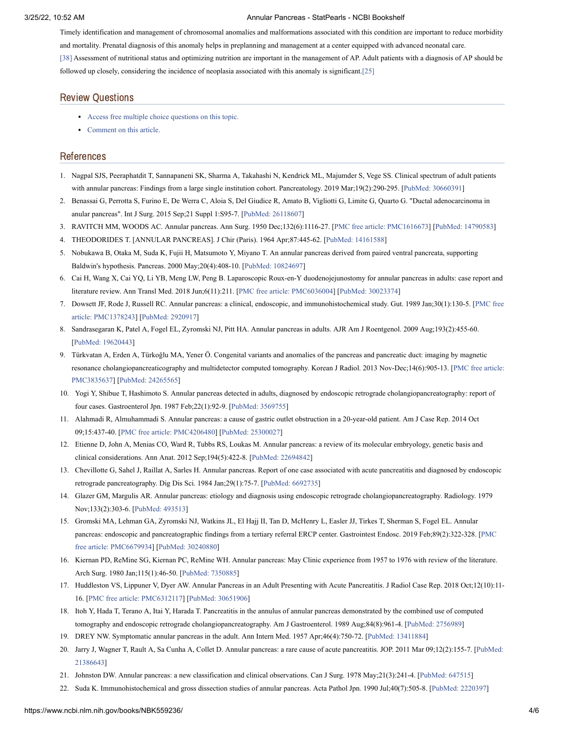Timely identification and management of chromosomal anomalies and malformations associated with this condition are important to reduce morbidity and mortality. Prenatal diagnosis of this anomaly helps in preplanning and management at a center equipped with advanced neonatal care. [\[38\]](#page-5-15) Assessment of nutritional status and optimizing nutrition are important in the management of AP. Adult patients with a diagnosis of AP should be followed up closely, considering the incidence of neoplasia associated with this anomaly is significant.[\[25\]](#page-5-2)

#### Review Questions

- Access free multiple choice [questions](https://www.statpearls.com/account/trialuserreg/?articleid=17616&utm_source=pubmed&utm_campaign=reviews&utm_content=17616) on this topic.
- [Comment](https://www.statpearls.com/articlelibrary/commentarticle/17616/?utm_source=pubmed&utm_campaign=comments&utm_content=17616) on this article.

## References

- <span id="page-4-0"></span>1. Nagpal SJS, Peeraphatdit T, Sannapaneni SK, Sharma A, Takahashi N, Kendrick ML, Majumder S, Vege SS. Clinical spectrum of adult patients with annular pancreas: Findings from a large single institution cohort. Pancreatology. 2019 Mar;19(2):290-295. [PubMed: [30660391](https://www.ncbi.nlm.nih.gov/pubmed/30660391)]
- <span id="page-4-1"></span>2. Benassai G, Perrotta S, Furino E, De Werra C, Aloia S, Del Giudice R, Amato B, Vigliotti G, Limite G, Quarto G. "Ductal adenocarcinoma in anular pancreas". Int J Surg. 2015 Sep;21 Suppl 1:S95-7. [PubMed: [26118607\]](https://www.ncbi.nlm.nih.gov/pubmed/26118607)
- <span id="page-4-2"></span>3. RAVITCH MM, WOODS AC. Annular pancreas. Ann Surg. 1950 Dec;132(6):1116-27. [PMC free article: [PMC1616673\]](https://www.ncbi.nlm.nih.gov/pmc/articles/PMC1616673/?report=reader) [PubMed: [14790583](https://www.ncbi.nlm.nih.gov/pubmed/14790583)]
- <span id="page-4-3"></span>4. THEODORIDES T. [ANNULAR PANCREAS]. J Chir (Paris). 1964 Apr;87:445-62. [PubMed: [14161588\]](https://www.ncbi.nlm.nih.gov/pubmed/14161588)
- <span id="page-4-4"></span>5. Nobukawa B, Otaka M, Suda K, Fujii H, Matsumoto Y, Miyano T. An annular pancreas derived from paired ventral pancreata, supporting Baldwin's hypothesis. Pancreas. 2000 May;20(4):408-10. [PubMed: [10824697\]](https://www.ncbi.nlm.nih.gov/pubmed/10824697)
- <span id="page-4-5"></span>6. Cai H, Wang X, Cai YQ, Li YB, Meng LW, Peng B. Laparoscopic Roux-en-Y duodenojejunostomy for annular pancreas in adults: case report and literature review. Ann Transl Med. 2018 Jun;6(11):211. [PMC free article: [PMC6036004\]](https://www.ncbi.nlm.nih.gov/pmc/articles/PMC6036004/?report=reader) [PubMed: [30023374](https://www.ncbi.nlm.nih.gov/pubmed/30023374)]
- <span id="page-4-6"></span>7. Dowsett JF, Rode J, Russell RC. Annular pancreas: a clinical, endoscopic, and [immunohistochemical](https://www.ncbi.nlm.nih.gov/pmc/articles/PMC1378243/?report=reader) study. Gut. 1989 Jan;30(1):130-5. [PMC free article: PMC1378243] [\[PubMed:](https://www.ncbi.nlm.nih.gov/pubmed/2920917) 2920917]
- <span id="page-4-7"></span>8. Sandrasegaran K, Patel A, Fogel EL, Zyromski NJ, Pitt HA. Annular pancreas in adults. AJR Am J Roentgenol. 2009 Aug;193(2):455-60. [PubMed: [19620443\]](https://www.ncbi.nlm.nih.gov/pubmed/19620443)
- <span id="page-4-8"></span>9. Türkvatan A, Erden A, Türkoğlu MA, Yener Ö. Congenital variants and anomalies of the pancreas and pancreatic duct: imaging by magnetic resonance [cholangiopancreaticography](https://www.ncbi.nlm.nih.gov/pmc/articles/PMC3835637/?report=reader) and multidetector computed tomography. Korean J Radiol. 2013 Nov-Dec;14(6):905-13. [PMC free article: PMC3835637] [PubMed: [24265565](https://www.ncbi.nlm.nih.gov/pubmed/24265565)]
- <span id="page-4-9"></span>10. Yogi Y, Shibue T, Hashimoto S. Annular pancreas detected in adults, diagnosed by endoscopic retrograde cholangiopancreatography: report of four cases. Gastroenterol Jpn. 1987 Feb;22(1):92-9. [\[PubMed:](https://www.ncbi.nlm.nih.gov/pubmed/3569755) 3569755]
- <span id="page-4-10"></span>11. Alahmadi R, Almuhammadi S. Annular pancreas: a cause of gastric outlet obstruction in a 20-year-old patient. Am J Case Rep. 2014 Oct 09;15:437-40. [PMC free article: [PMC4206480\]](https://www.ncbi.nlm.nih.gov/pmc/articles/PMC4206480/?report=reader) [PubMed: [25300027](https://www.ncbi.nlm.nih.gov/pubmed/25300027)]
- <span id="page-4-11"></span>12. Etienne D, John A, Menias CO, Ward R, Tubbs RS, Loukas M. Annular pancreas: a review of its molecular embryology, genetic basis and clinical considerations. Ann Anat. 2012 Sep;194(5):422-8. [PubMed: [22694842](https://www.ncbi.nlm.nih.gov/pubmed/22694842)]
- <span id="page-4-12"></span>13. Chevillotte G, Sahel J, Raillat A, Sarles H. Annular pancreas. Report of one case associated with acute pancreatitis and diagnosed by endoscopic retrograde pancreatography. Dig Dis Sci. 1984 Jan;29(1):75-7. [\[PubMed:](https://www.ncbi.nlm.nih.gov/pubmed/6692735) 6692735]
- <span id="page-4-13"></span>14. Glazer GM, Margulis AR. Annular pancreas: etiology and diagnosis using endoscopic retrograde cholangiopancreatography. Radiology. 1979 Nov;133(2):303-6. [\[PubMed:](https://www.ncbi.nlm.nih.gov/pubmed/493513) 493513]
- <span id="page-4-14"></span>15. Gromski MA, Lehman GA, Zyromski NJ, Watkins JL, El Hajj II, Tan D, McHenry L, Easler JJ, Tirkes T, Sherman S, Fogel EL. Annular pancreas: endoscopic and pancreatographic findings from a tertiary referral ERCP center. Gastrointest Endosc. 2019 [Feb;89\(2\):322-328.](https://www.ncbi.nlm.nih.gov/pmc/articles/PMC6679934/?report=reader) [PMC free article: PMC6679934] [PubMed: [30240880](https://www.ncbi.nlm.nih.gov/pubmed/30240880)]
- <span id="page-4-15"></span>16. Kiernan PD, ReMine SG, Kiernan PC, ReMine WH. Annular pancreas: May Clinic experience from 1957 to 1976 with review of the literature. Arch Surg. 1980 Jan;115(1):46-50. [[PubMed:](https://www.ncbi.nlm.nih.gov/pubmed/7350885) 7350885]
- <span id="page-4-16"></span>17. Huddleston VS, Lippuner V, Dyer AW. Annular Pancreas in an Adult Presenting with Acute Pancreatitis. J Radiol Case Rep. 2018 Oct;12(10):11- 16. [PMC free article: [PMC6312117](https://www.ncbi.nlm.nih.gov/pmc/articles/PMC6312117/?report=reader)] [PubMed: [30651906\]](https://www.ncbi.nlm.nih.gov/pubmed/30651906)
- <span id="page-4-17"></span>18. Itoh Y, Hada T, Terano A, Itai Y, Harada T. Pancreatitis in the annulus of annular pancreas demonstrated by the combined use of computed tomography and endoscopic retrograde cholangiopancreatography. Am J Gastroenterol. 1989 Aug;84(8):961-4. [\[PubMed:](https://www.ncbi.nlm.nih.gov/pubmed/2756989) 2756989]
- <span id="page-4-18"></span>19. DREY NW. Symptomatic annular pancreas in the adult. Ann Intern Med. 1957 Apr;46(4):750-72. [PubMed: [13411884](https://www.ncbi.nlm.nih.gov/pubmed/13411884)]
- <span id="page-4-19"></span>20. Jarry J, Wagner T, Rault A, Sa Cunha A, Collet D. Annular pancreas: a rare cause of acute pancreatitis. JOP. 2011 Mar [09;12\(2\):155-7.](https://www.ncbi.nlm.nih.gov/pubmed/21386643) [PubMed: 21386643]
- <span id="page-4-20"></span>21. Johnston DW. Annular pancreas: a new classification and clinical observations. Can J Surg. 1978 May;21(3):241-4. [\[PubMed:](https://www.ncbi.nlm.nih.gov/pubmed/647515) 647515]
- <span id="page-4-21"></span>22. Suda K. Immunohistochemical and gross dissection studies of annular pancreas. Acta Pathol Jpn. 1990 Jul;40(7):505-8. [[PubMed:](https://www.ncbi.nlm.nih.gov/pubmed/2220397) 2220397]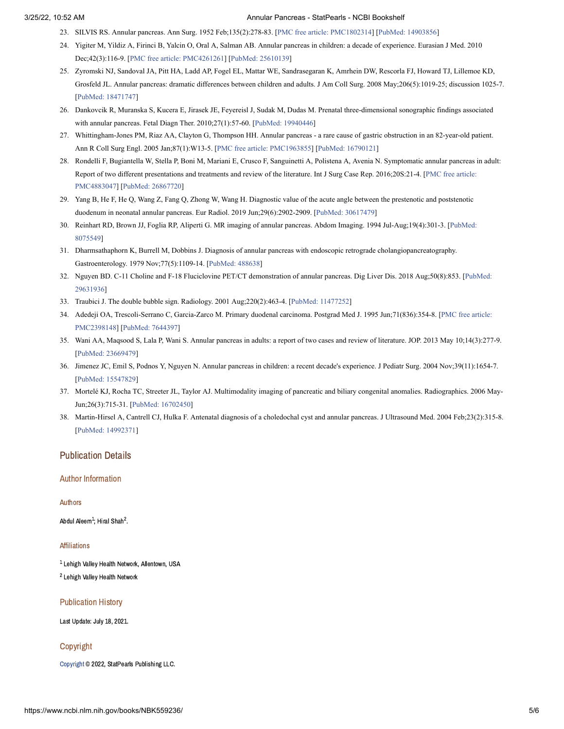- <span id="page-5-0"></span>23. SILVIS RS. Annular pancreas. Ann Surg. 1952 Feb;135(2):278-83. [PMC free article: [PMC1802314\]](https://www.ncbi.nlm.nih.gov/pmc/articles/PMC1802314/?report=reader) [PubMed: [14903856](https://www.ncbi.nlm.nih.gov/pubmed/14903856)]
- <span id="page-5-1"></span>24. Yigiter M, Yildiz A, Firinci B, Yalcin O, Oral A, Salman AB. Annular pancreas in children: a decade of experience. Eurasian J Med. 2010 Dec;42(3):116-9. [PMC free article: [PMC4261261\]](https://www.ncbi.nlm.nih.gov/pmc/articles/PMC4261261/?report=reader) [PubMed: [25610139](https://www.ncbi.nlm.nih.gov/pubmed/25610139)]
- <span id="page-5-2"></span>25. Zyromski NJ, Sandoval JA, Pitt HA, Ladd AP, Fogel EL, Mattar WE, Sandrasegaran K, Amrhein DW, Rescorla FJ, Howard TJ, Lillemoe KD, Grosfeld JL. Annular pancreas: dramatic differences between children and adults. J Am Coll Surg. 2008 May;206(5):1019-25; discussion 1025-7. [PubMed: [18471747\]](https://www.ncbi.nlm.nih.gov/pubmed/18471747)
- <span id="page-5-3"></span>26. Dankovcik R, Muranska S, Kucera E, Jirasek JE, Feyereisl J, Sudak M, Dudas M. Prenatal three-dimensional sonographic findings associated with annular pancreas. Fetal Diagn Ther. 2010;27(1):57-60. [PubMed: [19940446](https://www.ncbi.nlm.nih.gov/pubmed/19940446)]
- <span id="page-5-4"></span>27. Whittingham-Jones PM, Riaz AA, Clayton G, Thompson HH. Annular pancreas - a rare cause of gastric obstruction in an 82-year-old patient. Ann R Coll Surg Engl. 2005 Jan;87(1):W13-5. [PMC free article: [PMC1963855](https://www.ncbi.nlm.nih.gov/pmc/articles/PMC1963855/?report=reader)] [PubMed: [16790121](https://www.ncbi.nlm.nih.gov/pubmed/16790121)]
- <span id="page-5-5"></span>28. Rondelli F, Bugiantella W, Stella P, Boni M, Mariani E, Crusco F, Sanguinetti A, Polistena A, Avenia N. Symptomatic annular pancreas in adult: Report of two different presentations and treatments and review of the literature. Int J Surg Case Rep. [2016;20S:21-4.](https://www.ncbi.nlm.nih.gov/pmc/articles/PMC4883047/?report=reader) [PMC free article: PMC4883047] [PubMed: [26867720\]](https://www.ncbi.nlm.nih.gov/pubmed/26867720)
- <span id="page-5-6"></span>29. Yang B, He F, He Q, Wang Z, Fang Q, Zhong W, Wang H. Diagnostic value of the acute angle between the prestenotic and poststenotic duodenum in neonatal annular pancreas. Eur Radiol. 2019 Jun;29(6):2902-2909. [PubMed: [30617479\]](https://www.ncbi.nlm.nih.gov/pubmed/30617479)
- <span id="page-5-7"></span>30. Reinhart RD, Brown JJ, Foglia RP, Aliperti G. MR imaging of annular pancreas. Abdom Imaging. 1994 [Jul-Aug;19\(4\):301-3.](https://www.ncbi.nlm.nih.gov/pubmed/8075549) [PubMed: 8075549]
- <span id="page-5-8"></span>31. Dharmsathaphorn K, Burrell M, Dobbins J. Diagnosis of annular pancreas with endoscopic retrograde cholangiopancreatography. Gastroenterology. 1979 Nov;77(5):1109-14. [[PubMed:](https://www.ncbi.nlm.nih.gov/pubmed/488638) 488638]
- <span id="page-5-9"></span>32. Nguyen BD. C-11 Choline and F-18 Fluciclovine PET/CT demonstration of annular pancreas. Dig Liver Dis. 2018 [Aug;50\(8\):853.](https://www.ncbi.nlm.nih.gov/pubmed/29631936) [PubMed: 29631936]
- <span id="page-5-10"></span>33. Traubici J. The double bubble sign. Radiology. 2001 Aug;220(2):463-4. [PubMed: [11477252](https://www.ncbi.nlm.nih.gov/pubmed/11477252)]
- <span id="page-5-11"></span>34. Adedeji OA, Trescoli-Serrano C, Garcia-Zarco M. Primary duodenal carcinoma. Postgrad Med J. 1995 [Jun;71\(836\):354-8.](https://www.ncbi.nlm.nih.gov/pmc/articles/PMC2398148/?report=reader) [PMC free article: PMC2398148] [[PubMed:](https://www.ncbi.nlm.nih.gov/pubmed/7644397) 7644397]
- <span id="page-5-12"></span>35. Wani AA, Maqsood S, Lala P, Wani S. Annular pancreas in adults: a report of two cases and review of literature. JOP. 2013 May 10;14(3):277-9. [PubMed: [23669479\]](https://www.ncbi.nlm.nih.gov/pubmed/23669479)
- <span id="page-5-13"></span>36. Jimenez JC, Emil S, Podnos Y, Nguyen N. Annular pancreas in children: a recent decade's experience. J Pediatr Surg. 2004 Nov;39(11):1654-7. [PubMed: [15547829\]](https://www.ncbi.nlm.nih.gov/pubmed/15547829)
- <span id="page-5-14"></span>37. Mortelé KJ, Rocha TC, Streeter JL, Taylor AJ. Multimodality imaging of pancreatic and biliary congenital anomalies. Radiographics. 2006 May-Jun;26(3):715-31. [PubMed: [16702450\]](https://www.ncbi.nlm.nih.gov/pubmed/16702450)
- <span id="page-5-15"></span>38. Martin-Hirsel A, Cantrell CJ, Hulka F. Antenatal diagnosis of a choledochal cyst and annular pancreas. J Ultrasound Med. 2004 Feb;23(2):315-8. [PubMed: [14992371\]](https://www.ncbi.nlm.nih.gov/pubmed/14992371)

# Publication Details

#### Author Information

Authors

Abdul Aleem $^1$ : Hiral Shah $^2$ .

#### Affiliations

 $^{\text{1}}$  Lehigh Valley Health Network, Allentown, USA <sup>2</sup> Lehigh Valley Health Network

#### Publication History

Last Update: July 18, 2021.

#### Copyright

[Copyright](https://www.ncbi.nlm.nih.gov/books/about/copyright/) © 2022, StatPearls Publishing LLC.